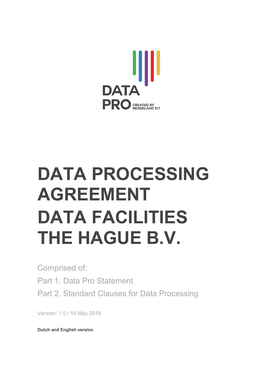

# **DATA PROCESSING AGREEMENT DATA FACILITIES THE HAGUE B.V.**

Comprised of: Part 1. Data Pro Statement Part 2. Standard Clauses for Data Processing

Version: 1.0 / 19 May 2018

**Dutch and English version**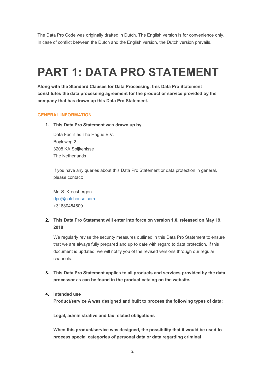The Data Pro Code was originally drafted in Dutch. The English version is for convenience only. In case of conflict between the Dutch and the English version, the Dutch version prevails.

### **PART 1: DATA PRO STATEMENT**

**Along with the Standard Clauses for Data Processing, this Data Pro Statement constitutes the data processing agreement for the product or service provided by the company that has drawn up this Data Pro Statement.**

#### **GENERAL INFORMATION**

**1. This Data Pro Statement was drawn up by**

Data Facilities The Hague B.V. Boyleweg 2 3208 KA Spijkenisse The Netherlands

If you have any queries about this Data Pro Statement or data protection in general, please contact:

Mr. S. Kroesbergen dpo@colohouse.com +31880454600

#### **2. This Data Pro Statement will enter into force on version 1.0, released on May 19, 2018**

We regularly revise the security measures outlined in this Data Pro Statement to ensure that we are always fully prepared and up to date with regard to data protection. If this document is updated, we will notify you of the revised versions through our regular channels.

**3. This Data Pro Statement applies to all products and services provided by the data processor as can be found in the product catalog on the website.**

#### **4. Intended use**

**Product/service A was designed and built to process the following types of data:**

**Legal, administrative and tax related obligations**

**When this product/service was designed, the possibility that it would be used to process special categories of personal data or data regarding criminal**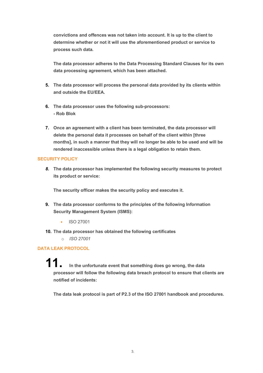**convictions and offences was not taken into account. It is up to the client to determine whether or not it will use the aforementioned product or service to process such data.** 

**The data processor adheres to the Data Processing Standard Clauses for its own data processing agreement, which has been attached.**

- **5. The data processor will process the personal data provided by its clients within and outside the EU/EEA.**
- **6. The data processor uses the following sub-processors: - Rob Blok**
- **7. Once an agreement with a client has been terminated, the data processor will delete the personal data it processes on behalf of the client within [three months], in such a manner that they will no longer be able to be used and will be rendered inaccessible unless there is a legal obligation to retain them.**

#### **SECURITY POLICY**

*8.* **The data processor has implemented the following security measures to protect its product or service:**

**The security officer makes the security policy and executes it.**

- **9. The data processor conforms to the principles of the following Information Security Management System (ISMS):**
	- ISO 27001
- **10. The data processor has obtained the following certificates**
	- o *ISO 27001*

#### **DATA LEAK PROTOCOL**

**11. In the unfortunate event that something does go wrong, the data processor will follow the following data breach protocol to ensure that clients are notified of incidents:**

**The data leak protocol is part of P2.3 of the ISO 27001 handbook and procedures.**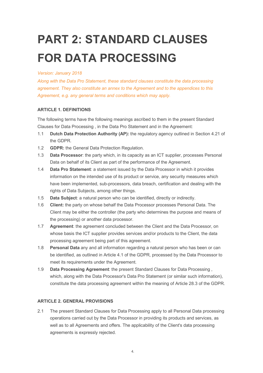## **PART 2: STANDARD CLAUSES FOR DATA PROCESSING**

#### *Version: January 2018*

*Along with the Data Pro Statement, these standard clauses constitute the data processing agreement. They also constitute an annex to the Agreement and to the appendices to this Agreement, e.g. any general terms and conditions which may apply.*

#### **ARTICLE 1. DEFINITIONS**

The following terms have the following meanings ascribed to them in the present Standard Clauses for Data Processing , in the Data Pro Statement and in the Agreement:

- 1.1 **Dutch Data Protection Authority (AP):** the regulatory agency outlined in Section 4.21 of the GDPR.
- 1.2 **GDPR:** the General Data Protection Regulation.
- 1.3 **Data Processor**: the party which, in its capacity as an ICT supplier, processes Personal Data on behalf of its Client as part of the performance of the Agreement.
- 1.4 **Data Pro Statement**: a statement issued by the Data Processor in which it provides information on the intended use of its product or service, any security measures which have been implemented, sub-processors, data breach, certification and dealing with the rights of Data Subjects, among other things.
- 1.5 **Data Subject**: a natural person who can be identified, directly or indirectly.
- 1.6 **Client:** the party on whose behalf the Data Processor processes Personal Data. The Client may be either the controller (the party who determines the purpose and means of the processing) or another data processor.
- 1.7 **Agreement**: the agreement concluded between the Client and the Data Processor, on whose basis the ICT supplier provides services and/or products to the Client, the data processing agreement being part of this agreement.
- 1.8 **Personal Data** any and all information regarding a natural person who has been or can be identified, as outlined in Article 4.1 of the GDPR, processed by the Data Processor to meet its requirements under the Agreement.
- 1.9 **Data Processing Agreement**: the present Standard Clauses for Data Processing , which, along with the Data Processor's Data Pro Statement (or similar such information), constitute the data processing agreement within the meaning of Article 28.3 of the GDPR.

#### **ARTICLE 2. GENERAL PROVISIONS**

2.1 The present Standard Clauses for Data Processing apply to all Personal Data processing operations carried out by the Data Processor in providing its products and services, as well as to all Agreements and offers. The applicability of the Client's data processing agreements is expressly rejected.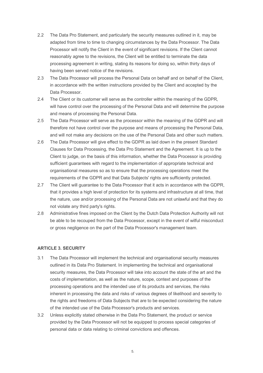- 2.2 The Data Pro Statement, and particularly the security measures outlined in it, may be adapted from time to time to changing circumstances by the Data Processor. The Data Processor will notify the Client in the event of significant revisions. If the Client cannot reasonably agree to the revisions, the Client will be entitled to terminate the data processing agreement in writing, stating its reasons for doing so, within thirty days of having been served notice of the revisions.
- 2.3 The Data Processor will process the Personal Data on behalf and on behalf of the Client, in accordance with the written instructions provided by the Client and accepted by the Data Processor.
- 2.4 The Client or its customer will serve as the controller within the meaning of the GDPR, will have control over the processing of the Personal Data and will determine the purpose and means of processing the Personal Data.
- 2.5 The Data Processor will serve as the processor within the meaning of the GDPR and will therefore not have control over the purpose and means of processing the Personal Data, and will not make any decisions on the use of the Personal Data and other such matters.
- 2.6 The Data Processor will give effect to the GDPR as laid down in the present Standard Clauses for Data Processing, the Data Pro Statement and the Agreement. It is up to the Client to judge, on the basis of this information, whether the Data Processor is providing sufficient guarantees with regard to the implementation of appropriate technical and organisational measures so as to ensure that the processing operations meet the requirements of the GDPR and that Data Subjects' rights are sufficiently protected.
- 2.7 The Client will guarantee to the Data Processor that it acts in accordance with the GDPR, that it provides a high level of protection for its systems and infrastructure at all time, that the nature, use and/or processing of the Personal Data are not unlawful and that they do not violate any third party's rights.
- 2.8 Administrative fines imposed on the Client by the Dutch Data Protection Authority will not be able to be recouped from the Data Processor, except in the event of wilful misconduct or gross negligence on the part of the Data Processor's management team.

#### **ARTICLE 3. SECURITY**

- 3.1 The Data Processor will implement the technical and organisational security measures outlined in its Data Pro Statement. In implementing the technical and organisational security measures, the Data Processor will take into account the state of the art and the costs of implementation, as well as the nature, scope, context and purposes of the processing operations and the intended use of its products and services, the risks inherent in processing the data and risks of various degrees of likelihood and severity to the rights and freedoms of Data Subjects that are to be expected considering the nature of the intended use of the Data Processor's products and services.
- 3.2 Unless explicitly stated otherwise in the Data Pro Statement, the product or service provided by the Data Processor will not be equipped to process special categories of personal data or data relating to criminal convictions and offences.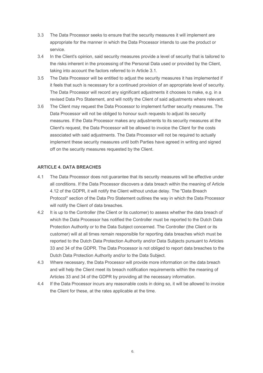- 3.3 The Data Processor seeks to ensure that the security measures it will implement are appropriate for the manner in which the Data Processor intends to use the product or service.
- 3.4 In the Client's opinion, said security measures provide a level of security that is tailored to the risks inherent in the processing of the Personal Data used or provided by the Client, taking into account the factors referred to in Article 3.1.
- 3.5 The Data Processor will be entitled to adjust the security measures it has implemented if it feels that such is necessary for a continued provision of an appropriate level of security. The Data Processor will record any significant adjustments it chooses to make, e.g. in a revised Data Pro Statement, and will notify the Client of said adjustments where relevant.
- 3.6 The Client may request the Data Processor to implement further security measures. The Data Processor will not be obliged to honour such requests to adjust its security measures. If the Data Processor makes any adjustments to its security measures at the Client's request, the Data Processor will be allowed to invoice the Client for the costs associated with said adjustments. The Data Processor will not be required to actually implement these security measures until both Parties have agreed in writing and signed off on the security measures requested by the Client.

#### **ARTICLE 4. DATA BREACHES**

- 4.1 The Data Processor does not guarantee that its security measures will be effective under all conditions. If the Data Processor discovers a data breach within the meaning of Article 4.12 of the GDPR, it will notify the Client without undue delay. The "Data Breach Protocol" section of the Data Pro Statement outlines the way in which the Data Processor will notify the Client of data breaches.
- 4.2 It is up to the Controller (the Client or its customer) to assess whether the data breach of which the Data Processor has notified the Controller must be reported to the Dutch Data Protection Authority or to the Data Subject concerned. The Controller (the Client or its customer) will at all times remain responsible for reporting data breaches which must be reported to the Dutch Data Protection Authority and/or Data Subjects pursuant to Articles 33 and 34 of the GDPR. The Data Processor is not obliged to report data breaches to the Dutch Data Protection Authority and/or to the Data Subject.
- 4.3 Where necessary, the Data Processor will provide more information on the data breach and will help the Client meet its breach notification requirements within the meaning of Articles 33 and 34 of the GDPR by providing all the necessary information.
- 4.4 If the Data Processor incurs any reasonable costs in doing so, it will be allowed to invoice the Client for these, at the rates applicable at the time.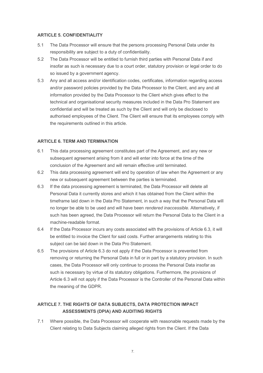#### **ARTICLE 5. CONFIDENTIALITY**

- 5.1 The Data Processor will ensure that the persons processing Personal Data under its responsibility are subject to a duty of confidentiality.
- 5.2 The Data Processor will be entitled to furnish third parties with Personal Data if and insofar as such is necessary due to a court order, statutory provision or legal order to do so issued by a government agency.
- 5.3 Any and all access and/or identification codes, certificates, information regarding access and/or password policies provided by the Data Processor to the Client, and any and all information provided by the Data Processor to the Client which gives effect to the technical and organisational security measures included in the Data Pro Statement are confidential and will be treated as such by the Client and will only be disclosed to authorised employees of the Client. The Client will ensure that its employees comply with the requirements outlined in this article.

#### **ARTICLE 6. TERM AND TERMINATION**

- 6.1 This data processing agreement constitutes part of the Agreement, and any new or subsequent agreement arising from it and will enter into force at the time of the conclusion of the Agreement and will remain effective until terminated.
- 6.2 This data processing agreement will end by operation of law when the Agreement or any new or subsequent agreement between the parties is terminated.
- 6.3 If the data processing agreement is terminated, the Data Processor will delete all Personal Data it currently stores and which it has obtained from the Client within the timeframe laid down in the Data Pro Statement, in such a way that the Personal Data will no longer be able to be used and will have been *rendered inaccessible*. Alternatively, if such has been agreed, the Data Processor will return the Personal Data to the Client in a machine-readable format.
- 6.4 If the Data Processor incurs any costs associated with the provisions of Article 6.3, it will be entitled to invoice the Client for said costs. Further arrangements relating to this subject can be laid down in the Data Pro Statement.
- 6.5 The provisions of Article 6.3 do not apply if the Data Processor is prevented from removing or returning the Personal Data in full or in part by a statutory provision. In such cases, the Data Processor will only continue to process the Personal Data insofar as such is necessary by virtue of its statutory obligations. Furthermore, the provisions of Article 6.3 will not apply if the Data Processor is the Controller of the Personal Data within the meaning of the GDPR.

#### **ARTICLE 7. THE RIGHTS OF DATA SUBJECTS, DATA PROTECTION IMPACT ASSESSMENTS (DPIA) AND AUDITING RIGHTS**

7.1 Where possible, the Data Processor will cooperate with reasonable requests made by the Client relating to Data Subjects claiming alleged rights from the Client. If the Data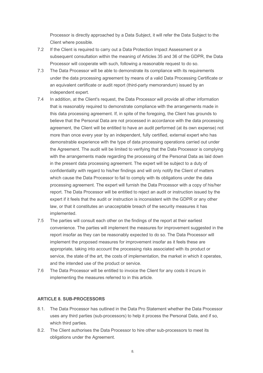Processor is directly approached by a Data Subject, it will refer the Data Subject to the Client where possible.

- 7.2 If the Client is required to carry out a Data Protection Impact Assessment or a subsequent consultation within the meaning of Articles 35 and 36 of the GDPR, the Data Processor will cooperate with such, following a reasonable request to do so.
- 7.3 The Data Processor will be able to demonstrate its compliance with its requirements under the data processing agreement by means of a valid Data Processing Certificate or an equivalent certificate or audit report (third-party memorandum) issued by an independent expert.
- 7.4 In addition, at the Client's request, the Data Processor will provide all other information that is reasonably required to demonstrate compliance with the arrangements made in this data processing agreement. If, in spite of the foregoing, the Client has grounds to believe that the Personal Data are not processed in accordance with the data processing agreement, the Client will be entitled to have an audit performed (at its own expense) not more than once every year by an independent, fully certified, external expert who has demonstrable experience with the type of data processing operations carried out under the Agreement. The audit will be limited to verifying that the Data Processor is complying with the arrangements made regarding the processing of the Personal Data as laid down in the present data processing agreement. The expert will be subject to a duty of confidentiality with regard to his/her findings and will only notify the Client of matters which cause the Data Processor to fail to comply with its obligations under the data processing agreement. The expert will furnish the Data Processor with a copy of his/her report. The Data Processor will be entitled to reject an audit or instruction issued by the expert if it feels that the audit or instruction is inconsistent with the GDPR or any other law, or that it constitutes an unacceptable breach of the security measures it has implemented.
- 7.5 The parties will consult each other on the findings of the report at their earliest convenience. The parties will implement the measures for improvement suggested in the report insofar as they can be reasonably expected to do so. The Data Processor will implement the proposed measures for improvement insofar as it feels these are appropriate, taking into account the processing risks associated with its product or service, the state of the art, the costs of implementation, the market in which it operates, and the intended use of the product or service.
- 7.6 The Data Processor will be entitled to invoice the Client for any costs it incurs in implementing the measures referred to in this article.

#### **ARTICLE 8. SUB-PROCESSORS**

- 8.1. The Data Processor has outlined in the Data Pro Statement whether the Data Processor uses any third parties (sub-processors) to help it process the Personal Data, and if so, which third parties.
- 8.2. The Client authorises the Data Processor to hire other sub-processors to meet its obligations under the Agreement.